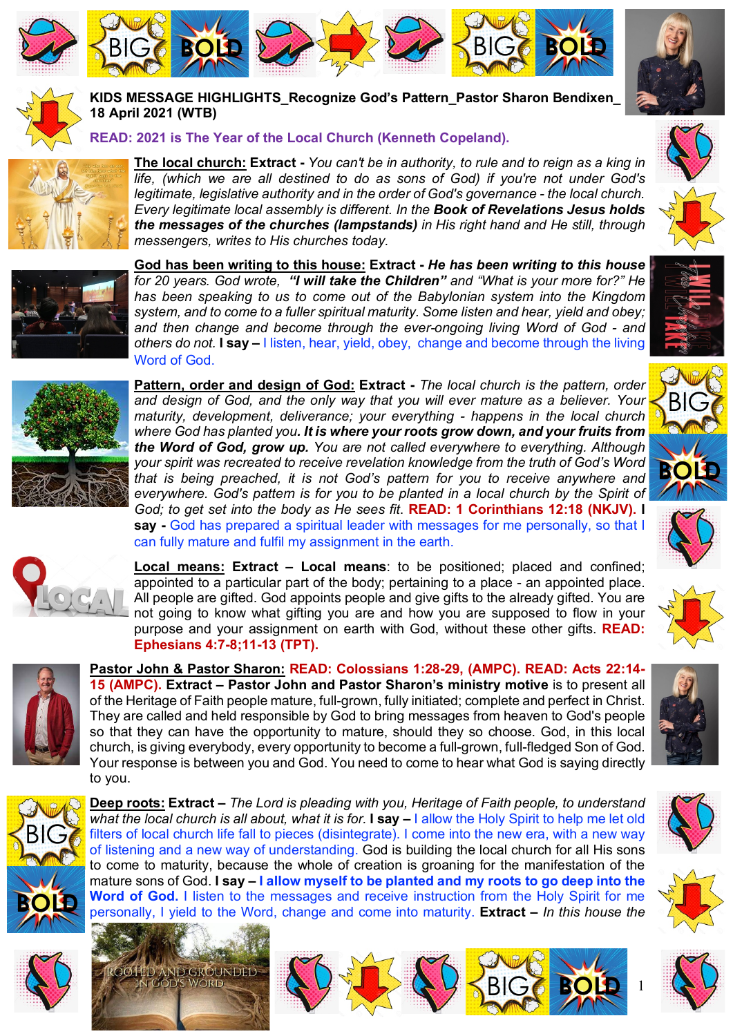







## **KIDS MESSAGE HIGHLIGHTS\_Recognize God's Pattern\_Pastor Sharon Bendixen\_ 18 April 2021 (WTB)**

## **READ: 2021 is The Year of the Local Church (Kenneth Copeland).**



**The local church: Extract -** *You can't be in authority, to rule and to reign as a king in life, (which we are all destined to do as sons of God) if you're not under God's legitimate, legislative authority and in the order of God's governance - the local church. Every legitimate local assembly is different. In the Book of Revelations Jesus holds the messages of the churches (lampstands) in His right hand and He still, through messengers, writes to His churches today.* 



**God has been writing to this house: Extract -** *He has been writing to this house for 20 years. God wrote, "I will take the Children" and "What is your more for?" He has been speaking to us to come out of the Babylonian system into the Kingdom system, and to come to a fuller spiritual maturity. Some listen and hear, yield and obey; and then change and become through the ever-ongoing living Word of God - and others do not.* **I say –** I listen, hear, yield, obey, change and become through the living Word of God.





**Pattern, order and design of God: Extract -** *The local church is the pattern, order and design of God, and the only way that you will ever mature as a believer. Your maturity, development, deliverance; your everything - happens in the local church where God has planted you. It is where your roots grow down, and your fruits from the Word of God, grow up. You are not called everywhere to everything. Although your spirit was recreated to receive revelation knowledge from the truth of God's Word that is being preached, it is not God's pattern for you to receive anywhere and everywhere. God's pattern is for you to be planted in a local church by the Spirit of God; to get set into the body as He sees fit*. **READ: 1 Corinthians 12:18 (NKJV). I say -** God has prepared a spiritual leader with messages for me personally, so that I can fully mature and fulfil my assignment in the earth.

**Local means: Extract – Local means**: to be positioned; placed and confined; appointed to a particular part of the body; pertaining to a place - an appointed place. All people are gifted. God appoints people and give gifts to the already gifted. You are not going to know what gifting you are and how you are supposed to flow in your purpose and your assignment on earth with God, without these other gifts. **READ: Ephesians 4:7-8;11-13 (TPT).**



**Pastor John & Pastor Sharon: READ: Colossians 1:28-29, (AMPC). READ: Acts 22:14- 15 (AMPC). Extract – Pastor John and Pastor Sharon's ministry motive** is to present all of the Heritage of Faith people mature, full-grown, fully initiated; complete and perfect in Christ. They are called and held responsible by God to bring messages from heaven to God's people so that they can have the opportunity to mature, should they so choose. God, in this local church, is giving everybody, every opportunity to become a full-grown, full-fledged Son of God. Your response is between you and God. You need to come to hear what God is saying directly to you.



**Deep roots: Extract –** *The Lord is pleading with you, Heritage of Faith people, to understand what the local church is all about, what it is for.* **I say –** I allow the Holy Spirit to help me let old filters of local church life fall to pieces (disintegrate). I come into the new era, with a new way of listening and a new way of understanding. God is building the local church for all His sons to come to maturity, because the whole of creation is groaning for the manifestation of the mature sons of God. **I say – I allow myself to be planted and my roots to go deep into the Word of God.** I listen to the messages and receive instruction from the Holy Spirit for me personally, I yield to the Word, change and come into maturity. **Extract –** *In this house the*